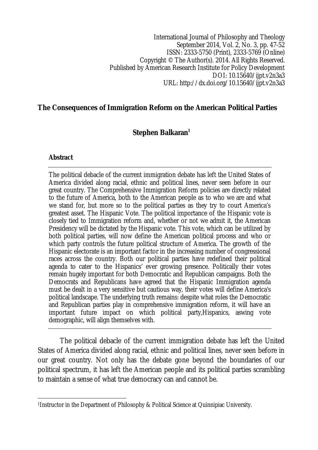International Journal of Philosophy and Theology September 2014, Vol. 2, No. 3, pp. 47-52 ISSN: 2333-5750 (Print), 2333-5769 (Online) Copyright © The Author(s). 2014. All Rights Reserved. Published by American Research Institute for Policy Development DOI: 10.15640/ijpt.v2n3a3 URL: http://dx.doi.org/10.15640/ijpt.v2n3a3

## **The Consequences of Immigration Reform on the American Political Parties**

## **Stephen Balkaran<sup>1</sup>**

## **Abstract**

The political debacle of the current immigration debate has left the United States of America divided along racial, ethnic and political lines, never seen before in our great country. The Comprehensive Immigration Reform policies are directly related to the future of America, both to the American people as to who we are and what we stand for, but more so to the political parties as they try to court America's greatest asset. The Hispanic Vote. The political importance of the Hispanic vote is closely tied to Immigration reform and, whether or not we admit it, the American Presidency will be dictated by the Hispanic vote. This vote, which can be utilized by both political parties, will now define the American political process and who or which party controls the future political structure of America. The growth of the Hispanic electorate is an important factor in the increasing number of congressional races across the country. Both our political parties have redefined their political agenda to cater to the Hispanics' ever growing presence. Politically their votes remain hugely important for both Democratic and Republican campaigns. Both the Democrats and Republicans have agreed that the Hispanic Immigration agenda must be dealt in a very sensitive but cautious way, their votes will define America's political landscape. The underlying truth remains: despite what roles the Democratic and Republican parties play in comprehensive immigration reform, it will have an important future impact on which political party,Hispanics, aswing vote demographic, will align themselves with.

The political debacle of the current immigration debate has left the United States of America divided along racial, ethnic and political lines, never seen before in our great country. Not only has the debate gone beyond the boundaries of our political spectrum, it has left the American people and its political parties scrambling to maintain a sense of what true democracy can and cannot be.

 $\overline{a}$ 1Instructor in the Department of Philosophy & Political Science at Quinnipiac University.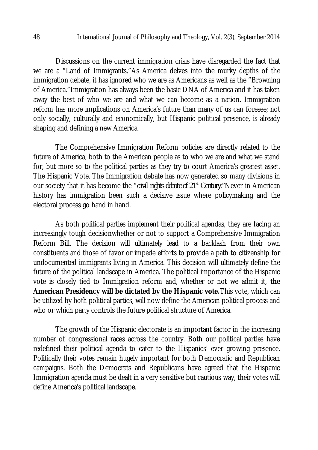Discussions on the current immigration crisis have disregarded the fact that we are a "Land of Immigrants."As America delves into the murky depths of the immigration debate, it has ignored who we are as Americans as well as the "Browning of America."Immigration has always been the basic DNA of America and it has taken away the best of who we are and what we can become as a nation. Immigration reform has more implications on America's future than many of us can foresee; not only socially, culturally and economically, but Hispanic political presence, is already shaping and defining a new America.

The Comprehensive Immigration Reform policies are directly related to the future of America, both to the American people as to who we are and what we stand for, but more so to the political parties as they try to court America's greatest asset. The Hispanic Vote. The Immigration debate has now generated so many divisions in our society that it has become the "c*ivil rights debate of 21st Century."*Never in American history has immigration been such a decisive issue where policymaking and the electoral process go hand in hand.

As both political parties implement their political agendas, they are facing an increasingly tough decisionwhether or not to support a Comprehensive Immigration Reform Bill. The decision will ultimately lead to a backlash from their own constituents and those of favor or impede efforts to provide a path to citizenship for undocumented immigrants living in America. This decision will ultimately define the future of the political landscape in America. The political importance of the Hispanic vote is closely tied to Immigration reform and, whether or not we admit it, **the American Presidency will be dictated by the Hispanic vote.**This vote, which can be utilized by both political parties, will now define the American political process and who or which party controls the future political structure of America.

The growth of the Hispanic electorate is an important factor in the increasing number of congressional races across the country. Both our political parties have redefined their political agenda to cater to the Hispanics' ever growing presence. Politically their votes remain hugely important for both Democratic and Republican campaigns. Both the Democrats and Republicans have agreed that the Hispanic Immigration agenda must be dealt in a very sensitive but cautious way, their votes will define America's political landscape.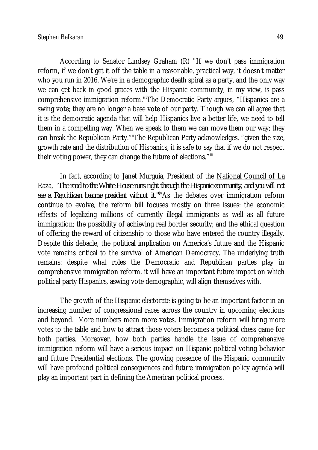According to Senator Lindsey Graham (R) "If we don't pass immigration reform, if we don't get it off the table in a reasonable, practical way, it doesn't matter who you run in 2016. We're in a demographic death spiral as a party, and the only way we can get back in good graces with the Hispanic community, in my view, is pass comprehensive immigration reform."<sup>i</sup>The Democratic Party argues, "Hispanics are a swing vote; they are no longer a base vote of our party. Though we can all agree that it is the democratic agenda that will help Hispanics live a better life, we need to tell them in a compelling way. When we speak to them we can move them our way; they can break the Republican Party."<sup>ii</sup>The Republican Party acknowledges, "given the size, growth rate and the distribution of Hispanics, it is safe to say that if we do not respect their voting power, they can change the future of elections."<sup>iii</sup>

In fact, according to Janet Murguia, President of the National Council of La Raza, "*The road to the White House runs right through the Hispanic community, and you will not see a Republican become president without it."*ivAs the debates over immigration reform continue to evolve, the reform bill focuses mostly on three issues: the economic effects of legalizing millions of currently illegal immigrants as well as all future immigration; the possibility of achieving real border security; and the ethical question of offering the reward of citizenship to those who have entered the country illegally. Despite this debacle, the political implication on America's future and the Hispanic vote remains critical to the survival of American Democracy. The underlying truth remains: despite what roles the Democratic and Republican parties play in comprehensive immigration reform, it will have an important future impact on which political party Hispanics, aswing vote demographic, will align themselves with.

The growth of the Hispanic electorate is going to be an important factor in an increasing number of congressional races across the country in upcoming elections and beyond. More numbers mean more votes. Immigration reform will bring more votes to the table and how to attract those voters becomes a political chess game for both parties. Moreover, how both parties handle the issue of comprehensive immigration reform will have a serious impact on Hispanic political voting behavior and future Presidential elections. The growing presence of the Hispanic community will have profound political consequences and future immigration policy agenda will play an important part in defining the American political process.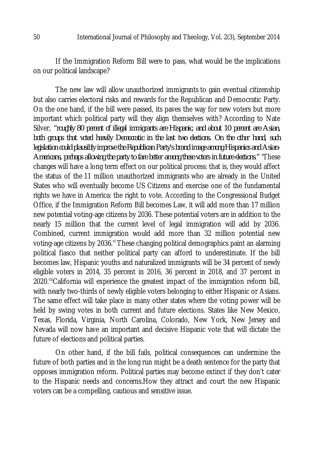If the Immigration Reform Bill were to pass, what would be the implications on our political landscape?

The new law will allow unauthorized immigrants to gain eventual citizenship but also carries electoral risks and rewards for the Republican and Democratic Party. On the one hand, if the bill were passed, its paves the way for new voters but more important which political party will they align themselves with? According to Nate Silver, *"roughly 80 percent of illegal immigrants are Hispanic, and about 10 percent are Asian, both groups that voted heavily Democratic in the last two elections. On the other hand, such legislation could plausibly improve the Republican Party's brand image among Hispanics and Asian-Americans, perhaps allowing the party to fare better among these voters in future elections." <sup>v</sup>*These changes will have a long term effect on our political process: that is, they would affect the status of the 11 million unauthorized immigrants who are already in the United States who will eventually become US Citizens and exercise one of the fundamental rights we have in America: the right to vote. According to the Congressional Budget Office, if the Immigration Reform Bill becomes Law, it will add more than 17 million new potential voting-age citizens by 2036. These potential voters are in addition to the nearly 15 million that the current level of legal immigration will add by 2036. Combined, current immigration would add more than 32 million potential new voting-age citizens by 2036.<sup>vi</sup> These changing political demographics paint an alarming political fiasco that neither political party can afford to underestimate. If the bill becomes law, Hispanic youths and naturalized immigrants will be 34 percent of newly eligible voters in 2014, 35 percent in 2016, 36 percent in 2018, and 37 percent in 2020.<sup>vii</sup>California will experience the greatest impact of the immigration reform bill, with nearly two-thirds of newly eligible voters belonging to either Hispanic or Asians. The same effect will take place in many other states where the voting power will be held by swing votes in both current and future elections. States like New Mexico, Texas, Florida, Virginia, North Carolina, Colorado, New York, New Jersey and Nevada will now have an important and decisive Hispanic vote that will dictate the future of elections and political parties.

On other hand, if the bill fails, political consequences can undermine the future of both parties and in the long run might be a death sentence for the party that opposes immigration reform. Political parties may become extinct if they don't cater to the Hispanic needs and concerns.How they attract and court the new Hispanic voters can be a compelling, cautious and sensitive issue.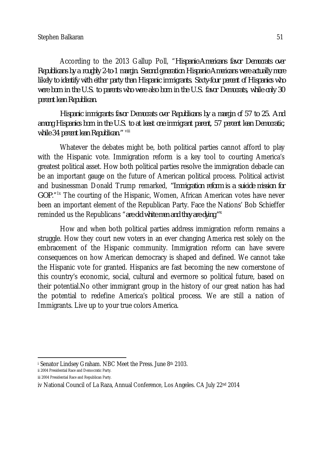According to the 2013 Gallup Poll, "*Hispanic-Americans favor Democrats over Republicans by a roughly 2-to-1 margin. Second generation Hispanic-Americans were actually more likely to identify with either party than Hispanic immigrants. Sixty-four percent of Hispanics who were born in the U.S. to parents who were also born in the U.S. favor Democrats, while only 30 percent lean Republican.* 

*Hispanic immigrants favor Democrats over Republicans by a margin of 57 to 25. And among Hispanics born in the U.S. to at least one immigrant parent, 57 percent lean Democratic, while 34 percent lean Republican."* viii

Whatever the debates might be, both political parties cannot afford to play with the Hispanic vote. Immigration reform is a key tool to courting America's greatest political asset. How both political parties resolve the immigration debacle can be an important gauge on the future of American political process. Political activist and businessman Donald Trump remarked, *"Immigration reform is a suicide mission for GOP*."<sup>1x</sup> The courting of the Hispanic, Women, African American votes have never been an important element of the Republican Party. Face the Nations' Bob Schieffer reminded us the Republicans "*are old white men and they are dying."<sup>x</sup>*

How and when both political parties address immigration reform remains a struggle. How they court new voters in an ever changing America rest solely on the embracement of the Hispanic community. Immigration reform can have severe consequences on how American democracy is shaped and defined. We cannot take the Hispanic vote for granted. Hispanics are fast becoming the new cornerstone of this country's economic, social, cultural and evermore so political future, based on their potential.No other immigrant group in the history of our great nation has had the potential to redefine America's political process. We are still a nation of Immigrants. Live up to your true colors America.

 $\overline{a}$ 

<sup>i</sup> Senator Lindsey Graham. NBC Meet the Press. June 8th 2103.

ii 2004 Presidential Race and Democratic Party.

iii 2004 Presidential Race and Republican Party.

iv National Council of La Raza, Annual Conference, Los Angeles. CA July 22<sup>nd</sup> 2014